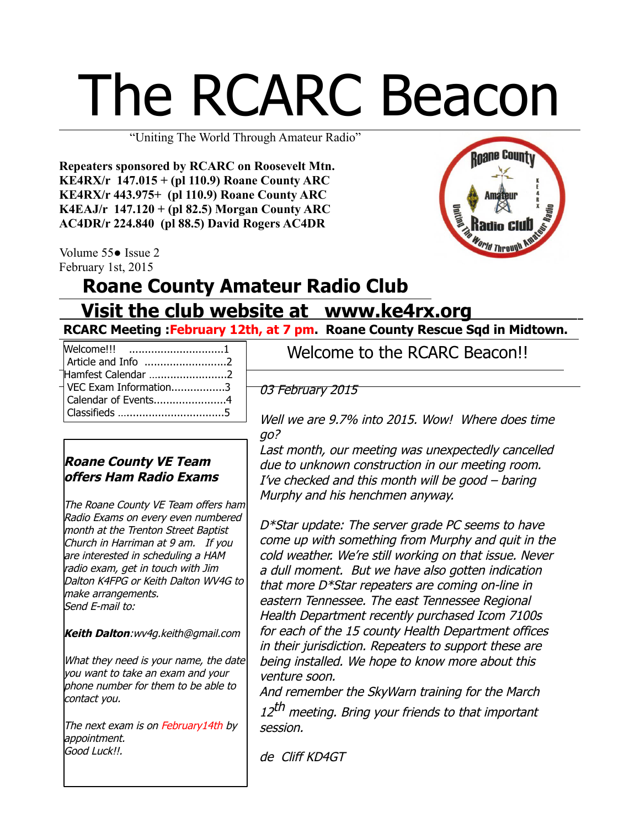# The RCARC Beacon

"Uniting The World Through Amateur Radio"

**Repeaters sponsored by RCARC on Roosevelt Mtn. KE4RX/r 147.015 + (pl 110.9) Roane County ARC KE4RX/r 443.975+ (pl 110.9) Roane County ARC K4EAJ/r 147.120 + (pl 82.5) Morgan County ARC AC4DR/r 224.840 (pl 88.5) David Rogers AC4DR**

Volume 55● Issue 2 February 1st, 2015

# **Roane County**

# **Roane County Amateur Radio Club Visit the club website at www.ke4rx.org**

**RCARC Meeting :February 12th, at 7 pm. Roane County Rescue Sqd in Midtown.** 

| Welcome!!! 1                         |
|--------------------------------------|
|                                      |
| Hamfest Calendar 2                   |
| $\sqrt{\text{VEC}$ Exam Information3 |
| Calendar of Events4                  |
|                                      |

#### **Roane County VE Team offers Ham Radio Exams**

The Roane County VE Team offers ham Radio Exams on every even numbered month at the Trenton Street Baptist Church in Harriman at 9 am. If you are interested in scheduling a HAM radio exam, get in touch with Jim Dalton K4FPG or Keith Dalton WV4G to make arrangements. Send E-mail to:

**Keith Dalton**:[wv4g.keith@gmail.com](mailto:wv4g.keith@gmail.com)

What they need is your name, the date you want to take an exam and your phone number for them to be able to contact you.

The next exam is on February14th by appointment. Good Luck!!.

Welcome to the RCARC Beacon!!

03 February 2015

Well we are 9.7% into 2015. Wow! Where does time go?

Last month, our meeting was unexpectedly cancelled due to unknown construction in our meeting room. I've checked and this month will be good – baring Murphy and his henchmen anyway.

D\*Star update: The server grade PC seems to have come up with something from Murphy and quit in the cold weather. We're still working on that issue. Never a dull moment. But we have also gotten indication that more D\*Star repeaters are coming on-line in eastern Tennessee. The east Tennessee Regional Health Department recently purchased Icom 7100s for each of the 15 county Health Department offices in their jurisdiction. Repeaters to support these are being installed. We hope to know more about this venture soon.

And remember the SkyWarn training for the March 12<sup>th</sup> meeting. Bring your friends to that important session.

de Cliff KD4GT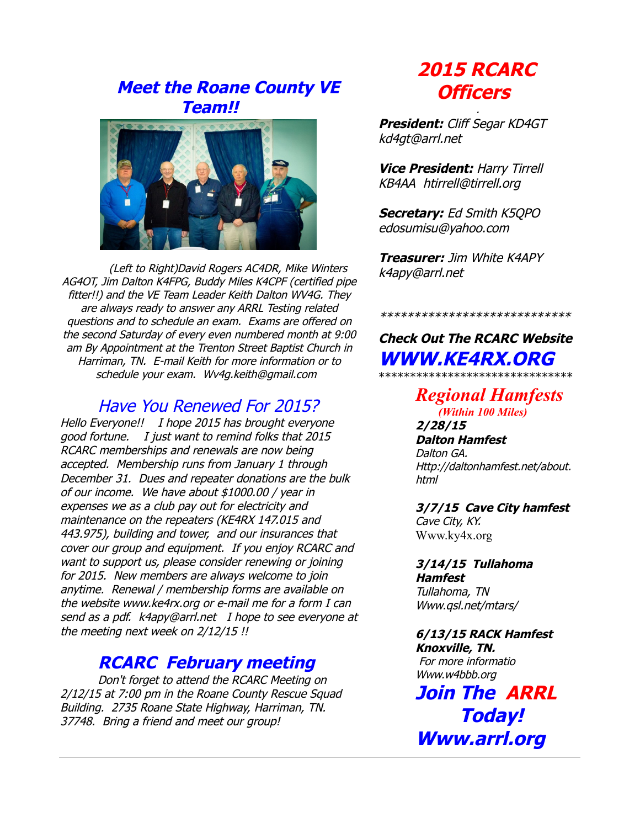# **Meet the Roane County VE Team!!**



(Left to Right)David Rogers AC4DR, Mike Winters AG4OT, Jim Dalton K4FPG, Buddy Miles K4CPF (certified pipe fitter!!) and the VE Team Leader Keith Dalton WV4G. They are always ready to answer any ARRL Testing related questions and to schedule an exam. Exams are offered on the second Saturday of every even numbered month at 9:00 am By Appointment at the Trenton Street Baptist Church in Harriman, TN. E-mail Keith for more information or to schedule your exam. Wv4g.keith@gmail.com

### Have You Renewed For 2015?

Hello Everyone!! I hope 2015 has brought everyone good fortune. I just want to remind folks that 2015 RCARC memberships and renewals are now being accepted. Membership runs from January 1 through December 31. Dues and repeater donations are the bulk of our income. We have about \$1000.00 / year in expenses we as a club pay out for electricity and maintenance on the repeaters (KE4RX 147.015 and 443.975), building and tower, and our insurances that cover our group and equipment. If you enjoy RCARC and want to support us, please consider renewing or joining for 2015. New members are always welcome to join anytime. Renewal / membership forms are available on the website [www.ke4rx.org](http://www.ke4rx.org/) or e-mail me for a form I can send as a pdf. [k4apy@arrl.net](mailto:k4apy@arrl.net) I hope to see everyone at the meeting next week on 2/12/15 !!

#### **RCARC February meeting**

Don't forget to attend the RCARC Meeting on 2/12/15 at 7:00 pm in the Roane County Rescue Squad Building. 2735 Roane State Highway, Harriman, TN. 37748. Bring a friend and meet our group!

# **2015 RCARC Officers**

.

**President:** Cliff Segar KD4GT kd4gt@arrl.net

**Vice President:** Harry Tirrell KB4AA [htirrell@tirrell.org](mailto:htirrell@tirrell.org)

**Secretary:** Ed Smith K5QPO [edosumisu@yahoo.com](mailto:edosumisu@yahoo.com)

**Treasurer:** Jim White K4APY k4apy@arrl.net

**Check Out The RCARC Website WWW.KE4RX.ORG** \*\*\*\*\*\*\*\*\*\*\*\*\*\*\*\*\*\*\*\*\*\*\*\*\*\*\*\*\*\*\*

\*\*\*\*\*\*\*\*\*\*\*\*\*\*\*\*\*\*\*\*\*\*\*\*\*\*\*\*

*Regional Hamfests (Within 100 Miles)* **2/28/15**

**Dalton Hamfest** Dalton GA. Http://daltonhamfest.net/about. html

**3/7/15 Cave City hamfest** Cave City, KY. [Www.ky4x.org](http://Www.ky4x.org/)

**3/14/15 Tullahoma Hamfest** Tullahoma, TN Www.qsl.net/mtars/

**6/13/15 RACK Hamfest Knoxville, TN.** For more informatio [Www.w4bbb.org](http://Www.w4bbb.org/)

**Join The ARRL Today! Www.arrl.org**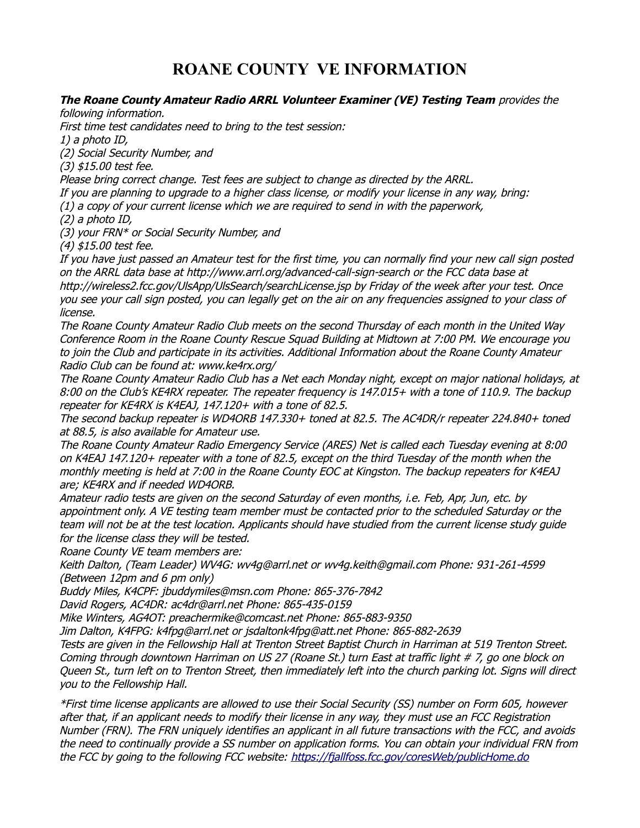## **ROANE COUNTY VE INFORMATION**

#### **The Roane County Amateur Radio ARRL Volunteer Examiner (VE) Testing Team** provides the

following information.

First time test candidates need to bring to the test session:

1) a photo ID,

(2) Social Security Number, and

(3) \$15.00 test fee.

Please bring correct change. Test fees are subject to change as directed by the ARRL.

If you are planning to upgrade to a higher class license, or modify your license in any way, bring:

(1) a copy of your current license which we are required to send in with the paperwork,

(2) a photo ID,

(3) your FRN\* or Social Security Number, and

(4) \$15.00 test fee.

If you have just passed an Amateur test for the first time, you can normally find your new call sign posted on the ARRL data base at http://www.arrl.org/advanced-call-sign-search or the FCC data base at http://wireless2.fcc.gov/UlsApp/UlsSearch/searchLicense.jsp by Friday of the week after your test. Once you see your call sign posted, you can legally get on the air on any frequencies assigned to your class of license.

The Roane County Amateur Radio Club meets on the second Thursday of each month in the United Way Conference Room in the Roane County Rescue Squad Building at Midtown at 7:00 PM. We encourage you to join the Club and participate in its activities. Additional Information about the Roane County Amateur Radio Club can be found at: www.ke4rx.org/

The Roane County Amateur Radio Club has a Net each Monday night, except on major national holidays, at 8:00 on the Club's KE4RX repeater. The repeater frequency is 147.015+ with a tone of 110.9. The backup repeater for KE4RX is K4EAJ, 147.120+ with a tone of 82.5.

The second backup repeater is WD4ORB 147.330+ toned at 82.5. The AC4DR/r repeater 224.840+ toned at 88.5, is also available for Amateur use.

The Roane County Amateur Radio Emergency Service (ARES) Net is called each Tuesday evening at 8:00 on K4EAJ 147.120+ repeater with a tone of 82.5, except on the third Tuesday of the month when the monthly meeting is held at 7:00 in the Roane County EOC at Kingston. The backup repeaters for K4EAJ are; KE4RX and if needed WD4ORB.

Amateur radio tests are given on the second Saturday of even months, i.e. Feb, Apr, Jun, etc. by appointment only. A VE testing team member must be contacted prior to the scheduled Saturday or the team will not be at the test location. Applicants should have studied from the current license study guide for the license class they will be tested.

Roane County VE team members are:

Keith Dalton, (Team Leader) WV4G: wv4g@arrl.net or wv4g.keith@gmail.com Phone: 931-261-4599 (Between 12pm and 6 pm only)

Buddy Miles, K4CPF: jbuddymiles@msn.com Phone: 865-376-7842

David Rogers, AC4DR: ac4dr@arrl.net Phone: 865-435-0159

Mike Winters, AG4OT: preachermike@comcast.net Phone: 865-883-9350

Jim Dalton, K4FPG: k4fpg@arrl.net or jsdaltonk4fpg@att.net Phone: 865-882-2639

Tests are given in the Fellowship Hall at Trenton Street Baptist Church in Harriman at 519 Trenton Street. Coming through downtown Harriman on US 27 (Roane St.) turn East at traffic light # 7, go one block on Queen St., turn left on to Trenton Street, then immediately left into the church parking lot. Signs will direct you to the Fellowship Hall.

\*First time license applicants are allowed to use their Social Security (SS) number on Form 605, however after that, if an applicant needs to modify their license in any way, they must use an FCC Registration Number (FRN). The FRN uniquely identifies an applicant in all future transactions with the FCC, and avoids the need to continually provide a SS number on application forms. You can obtain your individual FRN from the FCC by going to the following FCC website:<https://fjallfoss.fcc.gov/coresWeb/publicHome.do>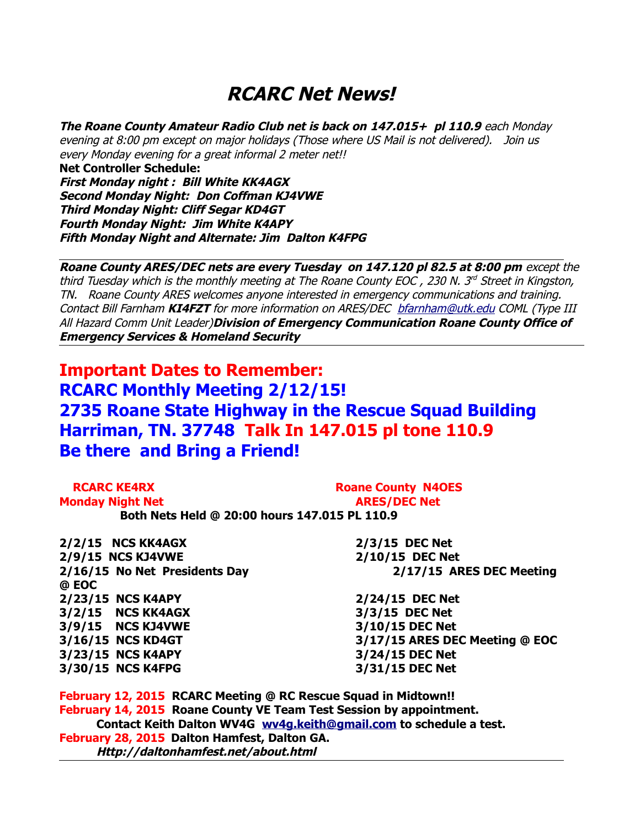# **RCARC Net News!**

**The Roane County Amateur Radio Club net is back on 147.015+ pl 110.9** each Monday evening at 8:00 pm except on major holidays (Those where US Mail is not delivered). Join us every Monday evening for a great informal 2 meter net!!

**Net Controller Schedule: First Monday night : Bill White KK4AGX Second Monday Night: Don Coffman KJ4VWE Third Monday Night: Cliff Segar KD4GT Fourth Monday Night: Jim White K4APY Fifth Monday Night and Alternate: Jim Dalton K4FPG** 

**Roane County ARES/DEC nets are every Tuesday on 147.120 pl 82.5 at 8:00 pm** except the third Tuesday which is the monthly meeting at The Roane County EOC, 230 N. 3<sup>rd</sup> Street in Kingston, TN. Roane County ARES welcomes anyone interested in emergency communications and training. Contact Bill Farnham **KI4FZT** for more information on ARES/DEC [bfarnham@utk.edu](mailto:bfarnham@utk.edu) COML (Type III All Hazard Comm Unit Leader)**Division of Emergency Communication Roane County Office of Emergency Services & Homeland Security** 

**Important Dates to Remember: RCARC Monthly Meeting 2/12/15! 2735 Roane State Highway in the Rescue Squad Building Harriman, TN. 37748 Talk In 147.015 pl tone 110.9 Be there and Bring a Friend!**

| <b>RCARC KE4RX</b>                            | <b>Roane County N4OES</b> |
|-----------------------------------------------|---------------------------|
| <b>Monday Night Net</b>                       | <b>ARES/DEC Net</b>       |
| Both Nets Held @ 20:00 hours 147.015 PL 110.9 |                           |

**2/2/15 NCS KK4AGX 2/3/15 DEC Net 2/9/15 NCS KJ4VWE 2/10/15 DEC Net @ EOC 2/23/15 NCS K4APY 2/24/15 DEC Net 3/2/15 NCS KK4AGX 3/3/15 DEC Net 3/9/15 NCS KJ4VWE 3/10/15 DEC Net 3/23/15 NCS K4APY 3/24/15 DEC Net 3/30/15 NCS K4FPG 3/31/15 DEC Net**

**2/16/15 No Net Presidents Day 2/17/15 ARES DEC Meeting** 

**3/16/15 NCS KD4GT 3/17/15 ARES DEC Meeting @ EOC**

**February 12, 2015 RCARC Meeting @ RC Rescue Squad in Midtown!! February 14, 2015 Roane County VE Team Test Session by appointment. Contact Keith Dalton WV4G [wv4g.keith@gmail.com](mailto:wv4g.keith@gmail.com) to schedule a test. February 28, 2015 Dalton Hamfest, Dalton GA. Http://daltonhamfest.net/about.html**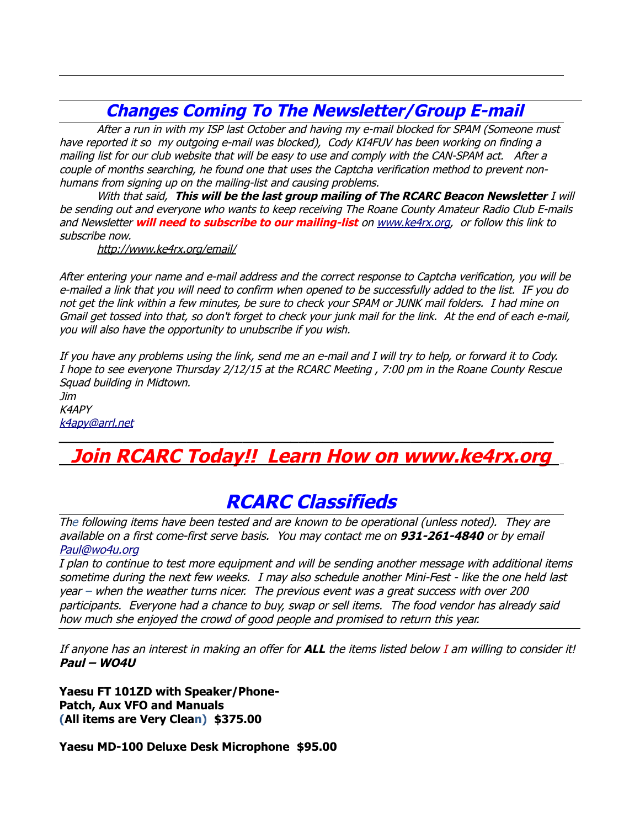# **Changes Coming To The Newsletter/Group E-mail**

After a run in with my ISP last October and having my e-mail blocked for SPAM (Someone must have reported it so my outgoing e-mail was blocked), Cody KI4FUV has been working on finding a mailing list for our club website that will be easy to use and comply with the CAN-SPAM act. After a couple of months searching, he found one that uses the Captcha verification method to prevent nonhumans from signing up on the mailing-list and causing problems.

With that said, **This will be the last group mailing of The RCARC Beacon Newsletter** I will be sending out and everyone who wants to keep receiving The Roane County Amateur Radio Club E-mails and Newsletter **will need to subscribe to our mailing-list** on [www.ke4rx.org,](http://www.ke4rx.org/) or follow this link to subscribe now.

<http://www.ke4rx.org/email/>

After entering your name and e-mail address and the correct response to Captcha verification, you will be e-mailed a link that you will need to confirm when opened to be successfully added to the list. IF you do not get the link within a few minutes, be sure to check your SPAM or JUNK mail folders. I had mine on Gmail get tossed into that, so don't forget to check your junk mail for the link. At the end of each e-mail, you will also have the opportunity to unubscribe if you wish.

If you have any problems using the link, send me an e-mail and I will try to help, or forward it to Cody. I hope to see everyone Thursday 2/12/15 at the RCARC Meeting , 7:00 pm in the Roane County Rescue Squad building in Midtown.

Jim K4APY [k4apy@arrl.net](mailto:k4apy@arrl.net)

# **Join RCARC Today!! Learn How on www.ke4rx.org**

**\_\_\_\_\_\_\_\_\_\_\_\_\_\_\_\_\_\_\_\_\_\_\_\_\_\_\_\_\_\_\_\_\_\_\_\_\_\_\_\_\_\_\_\_\_\_\_\_\_\_\_\_\_\_\_\_\_\_\_\_\_\_**

# **RCARC Classifieds**

The following items have been tested and are known to be operational (unless noted). They are available on a first come-first serve basis. You may contact me on **931-261-4840** or by email [Paul@wo4u.org](mailto:Paul@wo4u.org)

I plan to continue to test more equipment and will be sending another message with additional items sometime during the next few weeks. I may also schedule another Mini-Fest - like the one held last year – when the weather turns nicer. The previous event was a great success with over 200 participants. Everyone had a chance to buy, swap or sell items. The food vendor has already said how much she enjoyed the crowd of good people and promised to return this year.

If anyone has an interest in making an offer for **ALL** the items listed below I am willing to consider it! **Paul – WO4U**

**Yaesu FT 101ZD with Speaker/Phone-Patch, Aux VFO and Manuals (All items are Very Clean) \$375.00**

**Yaesu MD-100 Deluxe Desk Microphone \$95.00**